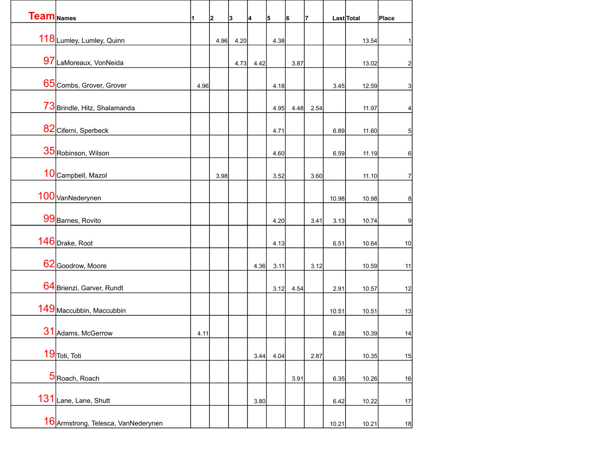| Team Names |                                     | 1    | 2    | 3    | 4    | 5    | 6    | 17   |       | Last Total | Place            |
|------------|-------------------------------------|------|------|------|------|------|------|------|-------|------------|------------------|
|            |                                     |      |      |      |      |      |      |      |       |            |                  |
|            | 118 Lumley, Lumley, Quinn           |      | 4.96 | 4.20 |      | 4.38 |      |      |       | 13.54      | $\mathbf{1}$     |
|            | 97 LaMoreaux, VonNeida              |      |      | 4.73 | 4.42 |      | 3.87 |      |       | 13.02      | $\mathbf{Z}$     |
|            | 65 Combs, Grover, Grover            | 4.96 |      |      |      | 4.18 |      |      | 3.45  | 12.59      | 3                |
|            | 73 Brindle, Hitz, Shalamanda        |      |      |      |      | 4.95 | 4.48 | 2.54 |       | 11.97      | 4                |
|            | 82 Ciferni, Sperbeck                |      |      |      |      | 4.71 |      |      | 6.89  | 11.60      | 5                |
|            | 35 Robinson, Wilson                 |      |      |      |      | 4.60 |      |      | 6.59  | 11.19      | $\,6$            |
|            | 10 Campbell, Mazol                  |      | 3.98 |      |      | 3.52 |      | 3.60 |       | 11.10      | $\overline{7}$   |
|            | 100 VanNederynen                    |      |      |      |      |      |      |      | 10.98 | 10.98      | 8                |
|            | 99 Barnes, Rovito                   |      |      |      |      | 4.20 |      | 3.41 | 3.13  | 10.74      | $\boldsymbol{9}$ |
|            | 146 Drake, Root                     |      |      |      |      | 4.13 |      |      | 6.51  | 10.64      | $10$             |
|            | 62 Goodrow, Moore                   |      |      |      | 4.36 | 3.11 |      | 3.12 |       | 10.59      | 11               |
|            | 64 Brienzi, Garver, Rundt           |      |      |      |      | 3.12 | 4.54 |      | 2.91  | 10.57      | 12               |
|            | 149 Maccubbin, Maccubbin            |      |      |      |      |      |      |      | 10.51 | 10.51      | 13               |
|            | 31 Adams, McGerrow                  | 4.11 |      |      |      |      |      |      | 6.28  | 10.39      | 14               |
|            | 19 Toti, Toti                       |      |      |      | 3.44 | 4.04 |      | 2.87 |       | 10.35      | 15               |
|            | 5 Roach, Roach                      |      |      |      |      |      | 3.91 |      | 6.35  | 10.26      | 16               |
|            | 131 Lane, Lane, Shutt               |      |      |      | 3.80 |      |      |      | 6.42  | 10.22      | 17               |
|            | 16 Armstrong, Telesca, VanNederynen |      |      |      |      |      |      |      | 10.21 | 10.21      | 18               |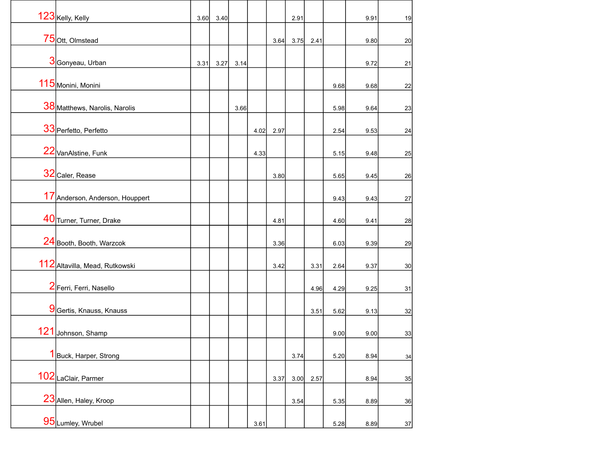| 123 Kelly, Kelly                | 3.60 | 3.40 |      |      |      | 2.91 |             |      | 9.91 | 19     |
|---------------------------------|------|------|------|------|------|------|-------------|------|------|--------|
| 75 Ott, Olmstead                |      |      |      |      | 3.64 | 3.75 | 2.41        |      | 9.80 | 20     |
|                                 |      |      |      |      |      |      |             |      |      |        |
| 3 Gonyeau, Urban                | 3.31 | 3.27 | 3.14 |      |      |      |             |      | 9.72 | 21     |
| 115 Monini, Monini              |      |      |      |      |      |      |             | 9.68 | 9.68 | 22     |
| 38 Matthews, Narolis, Narolis   |      |      | 3.66 |      |      |      |             | 5.98 | 9.64 | 23     |
| 33 Perfetto, Perfetto           |      |      |      | 4.02 | 2.97 |      |             | 2.54 | 9.53 | 24     |
| 22 VanAlstine, Funk             |      |      |      | 4.33 |      |      |             | 5.15 | 9.48 | 25     |
| 32 Caler, Rease                 |      |      |      |      | 3.80 |      |             | 5.65 | 9.45 | 26     |
| 17 Anderson, Anderson, Houppert |      |      |      |      |      |      |             | 9.43 | 9.43 | 27     |
| 40 Turner, Turner, Drake        |      |      |      |      |      |      |             |      |      |        |
|                                 |      |      |      |      | 4.81 |      |             | 4.60 | 9.41 | 28     |
| 24 Booth, Booth, Warzcok        |      |      |      |      | 3.36 |      |             | 6.03 | 9.39 | 29     |
| 112 Altavilla, Mead, Rutkowski  |      |      |      |      | 3.42 |      | 3.31        | 2.64 | 9.37 | $30\,$ |
| 2Ferri, Ferri, Nasello          |      |      |      |      |      |      | 4.96        | 4.29 | 9.25 | 31     |
| 9 Gertis, Knauss, Knauss        |      |      |      |      |      |      | 3.51        | 5.62 | 9.13 | 32     |
| 121 Johnson, Shamp              |      |      |      |      |      |      |             | 9.00 | 9.00 | 33     |
| Buck, Harper, Strong            |      |      |      |      |      | 3.74 |             | 5.20 | 8.94 |        |
|                                 |      |      |      |      |      |      |             |      |      | 34     |
| 102 LaClair, Parmer             |      |      |      |      | 3.37 |      | $3.00$ 2.57 |      | 8.94 | 35     |
| 23 Allen, Haley, Kroop          |      |      |      |      |      | 3.54 |             | 5.35 | 8.89 | 36     |
| 95 Lumley, Wrubel               |      |      |      | 3.61 |      |      |             | 5.28 | 8.89 | $37\,$ |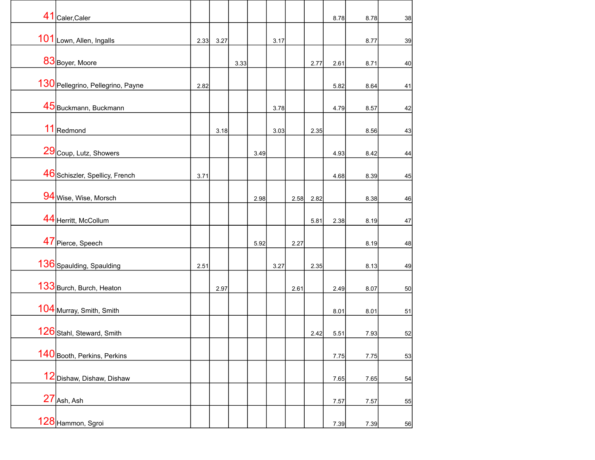| 41 Caler, Caler                   |      |      |      |      |      |      |      | 8.78 | 8.78 | 38     |
|-----------------------------------|------|------|------|------|------|------|------|------|------|--------|
| 101 Lown, Allen, Ingalls          | 2.33 | 3.27 |      |      | 3.17 |      |      |      | 8.77 | 39     |
| 83 Boyer, Moore                   |      |      | 3.33 |      |      |      | 2.77 | 2.61 | 8.71 | 40     |
| 130 Pellegrino, Pellegrino, Payne | 2.82 |      |      |      |      |      |      | 5.82 | 8.64 | 41     |
| 45 Buckmann, Buckmann             |      |      |      |      | 3.78 |      |      | 4.79 | 8.57 | 42     |
| 11 Redmond                        |      | 3.18 |      |      | 3.03 |      | 2.35 |      | 8.56 | 43     |
| 29 Coup, Lutz, Showers            |      |      |      | 3.49 |      |      |      | 4.93 | 8.42 | 44     |
| 46 Schiszler, Spellicy, French    | 3.71 |      |      |      |      |      |      | 4.68 | 8.39 | 45     |
| 94 Wise, Wise, Morsch             |      |      |      | 2.98 |      | 2.58 | 2.82 |      | 8.38 | 46     |
| 44 Herritt, McCollum              |      |      |      |      |      |      | 5.81 | 2.38 | 8.19 | $47\,$ |
| 47 Pierce, Speech                 |      |      |      | 5.92 |      | 2.27 |      |      | 8.19 | 48     |
| 136 Spaulding, Spaulding          | 2.51 |      |      |      | 3.27 |      | 2.35 |      | 8.13 | 49     |
| 133 Burch, Burch, Heaton          |      | 2.97 |      |      |      | 2.61 |      | 2.49 | 8.07 | 50     |
| 104 Murray, Smith, Smith          |      |      |      |      |      |      |      | 8.01 | 8.01 | 51     |
| 126 Stahl, Steward, Smith         |      |      |      |      |      |      | 2.42 | 5.51 | 7.93 | 52     |
| 140 Booth, Perkins, Perkins       |      |      |      |      |      |      |      | 7.75 | 7.75 | 53     |
| 12 Dishaw, Dishaw, Dishaw         |      |      |      |      |      |      |      | 7.65 | 7.65 | 54     |
| $27$ Ash, Ash                     |      |      |      |      |      |      |      | 7.57 | 7.57 | 55     |
| 128 Hammon, Sgroi                 |      |      |      |      |      |      |      | 7.39 | 7.39 | 56     |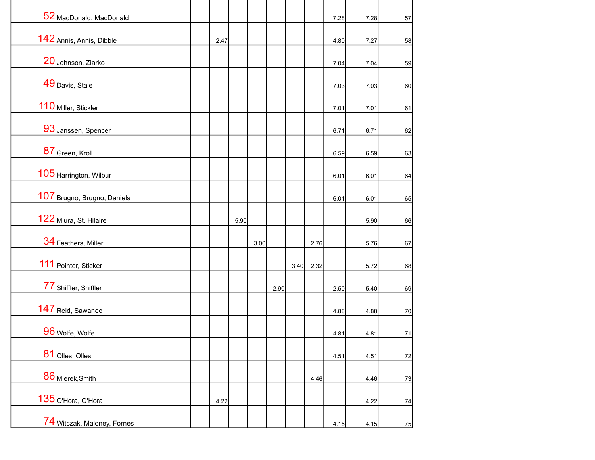|    | 52 MacDonald, MacDonald     |      |      |      |      |      |      | 7.28 | 7.28 | 57            |
|----|-----------------------------|------|------|------|------|------|------|------|------|---------------|
|    | 142 Annis, Annis, Dibble    | 2.47 |      |      |      |      |      | 4.80 | 7.27 | 58            |
|    |                             |      |      |      |      |      |      |      |      |               |
|    | 20 Johnson, Ziarko          |      |      |      |      |      |      | 7.04 | 7.04 | 59            |
|    | 49 Davis, Staie             |      |      |      |      |      |      | 7.03 | 7.03 | 60            |
|    | 110 Miller, Stickler        |      |      |      |      |      |      | 7.01 | 7.01 | 61            |
|    | 93 Janssen, Spencer         |      |      |      |      |      |      | 6.71 | 6.71 | 62            |
| 87 | Green, Kroll                |      |      |      |      |      |      | 6.59 | 6.59 | 63            |
|    | 105 Harrington, Wilbur      |      |      |      |      |      |      | 6.01 | 6.01 | 64            |
|    | 107 Brugno, Brugno, Daniels |      |      |      |      |      |      | 6.01 | 6.01 | 65            |
|    | 122 Miura, St. Hilaire      |      | 5.90 |      |      |      |      |      | 5.90 | 66            |
|    | 34 Feathers, Miller         |      |      | 3.00 |      |      | 2.76 |      | 5.76 | 67            |
|    | 111 Pointer, Sticker        |      |      |      |      | 3.40 | 2.32 |      | 5.72 | 68            |
| 77 | Shiffler, Shiffler          |      |      |      |      |      |      |      |      |               |
|    |                             |      |      |      | 2.90 |      |      | 2.50 | 5.40 | 69            |
|    | 147 Reid, Sawanec           |      |      |      |      |      |      | 4.88 | 4.88 | 70            |
|    | 96 Wolfe, Wolfe             |      |      |      |      |      |      | 4.81 | 4.81 | $\mathbf{71}$ |
| 81 | Olles, Olles                |      |      |      |      |      |      | 4.51 | 4.51 | 72            |
|    | 86 Mierek, Smith            |      |      |      |      |      | 4.46 |      | 4.46 | 73            |
|    | 135 O'Hora, O'Hora          | 4.22 |      |      |      |      |      |      | 4.22 | 74            |
|    | 74 Witczak, Maloney, Fornes |      |      |      |      |      |      | 4.15 | 4.15 | 75            |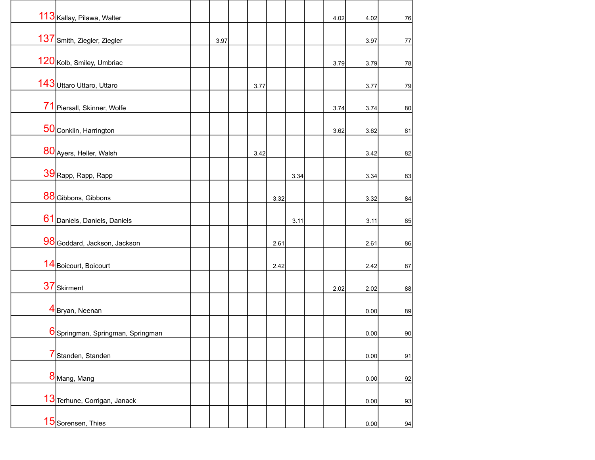| 113 Kallay, Pilawa, Walter        |      |      |      |      | 4.02 | 4.02 | 76         |
|-----------------------------------|------|------|------|------|------|------|------------|
| 137 Smith, Ziegler, Ziegler       | 3.97 |      |      |      |      | 3.97 | $77$       |
| 120 Kolb, Smiley, Umbriac         |      |      |      |      | 3.79 | 3.79 | ${\bf 78}$ |
| 143 Uttaro Uttaro, Uttaro         |      | 3.77 |      |      |      | 3.77 | 79         |
| 71 Piersall, Skinner, Wolfe       |      |      |      |      |      |      |            |
|                                   |      |      |      |      | 3.74 | 3.74 | 80         |
| 50 Conklin, Harrington            |      |      |      |      | 3.62 | 3.62 | 81         |
| 80 Ayers, Heller, Walsh           |      | 3.42 |      |      |      | 3.42 | 82         |
| 39 Rapp, Rapp, Rapp               |      |      |      | 3.34 |      | 3.34 | 83         |
| 88 Gibbons, Gibbons               |      |      | 3.32 |      |      | 3.32 | 84         |
| 61 Daniels, Daniels, Daniels      |      |      |      | 3.11 |      | 3.11 | 85         |
| 98 Goddard, Jackson, Jackson      |      |      | 2.61 |      |      | 2.61 | 86         |
| 14 Boicourt, Boicourt             |      |      | 2.42 |      |      | 2.42 | 87         |
| 37 Skirment                       |      |      |      |      | 2.02 | 2.02 | 88         |
| 4Bryan, Neenan                    |      |      |      |      |      | 0.00 | 89         |
| 6 Springman, Springman, Springman |      |      |      |      |      | 0.00 | $90\,$     |
| Standen, Standen                  |      |      |      |      |      | 0.00 | 91         |
| 8 Mang, Mang                      |      |      |      |      |      | 0.00 | 92         |
| 13 Terhune, Corrigan, Janack      |      |      |      |      |      | 0.00 |            |
|                                   |      |      |      |      |      |      | 93         |
| 15 Sorensen, Thies                |      |      |      |      |      | 0.00 | 94         |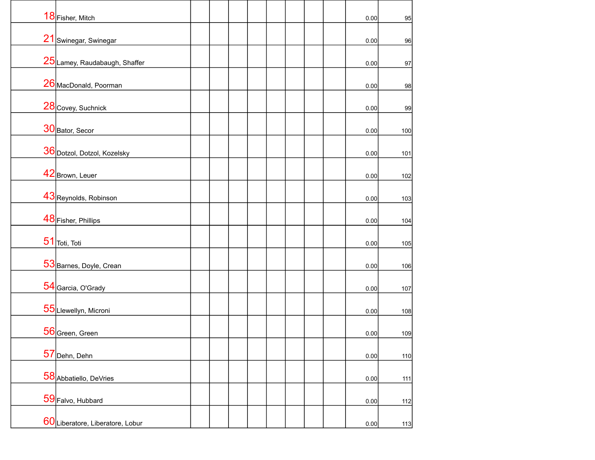|    | 18 Fisher, Mitch                 |  |  |  |  | 0.00 | 95                |
|----|----------------------------------|--|--|--|--|------|-------------------|
|    |                                  |  |  |  |  |      |                   |
| 21 | Swinegar, Swinegar               |  |  |  |  | 0.00 | 96                |
|    | 25 Lamey, Raudabaugh, Shaffer    |  |  |  |  |      |                   |
|    |                                  |  |  |  |  | 0.00 | 97                |
|    | 26 MacDonald, Poorman            |  |  |  |  | 0.00 | 98                |
|    |                                  |  |  |  |  |      |                   |
|    | 28 Covey, Suchnick               |  |  |  |  | 0.00 | 99                |
|    |                                  |  |  |  |  |      |                   |
|    | 30 Bator, Secor                  |  |  |  |  | 0.00 | 100               |
|    | 36 Dotzol, Dotzol, Kozelsky      |  |  |  |  | 0.00 | $101$             |
|    |                                  |  |  |  |  |      |                   |
|    | 42 Brown, Leuer                  |  |  |  |  | 0.00 | 102               |
|    |                                  |  |  |  |  |      |                   |
|    | 43 Reynolds, Robinson            |  |  |  |  | 0.00 | 103               |
|    |                                  |  |  |  |  |      |                   |
|    | 48 Fisher, Phillips              |  |  |  |  | 0.00 | 104               |
| 51 | Toti, Toti                       |  |  |  |  | 0.00 | 105               |
|    |                                  |  |  |  |  |      |                   |
|    | 53 Barnes, Doyle, Crean          |  |  |  |  | 0.00 | 106               |
|    |                                  |  |  |  |  |      |                   |
|    | 54 Garcia, O'Grady               |  |  |  |  | 0.00 | 107               |
|    |                                  |  |  |  |  |      |                   |
|    | 55 Llewellyn, Microni            |  |  |  |  | 0.00 | 108               |
|    | 56 Green, Green                  |  |  |  |  | 0.00 | 109               |
|    |                                  |  |  |  |  |      |                   |
| 57 | Dehn, Dehn                       |  |  |  |  | 0.00 | 110               |
|    |                                  |  |  |  |  |      |                   |
|    | 58 Abbatiello, DeVries           |  |  |  |  | 0.00 | 111               |
|    | 59 Falvo, Hubbard                |  |  |  |  |      |                   |
|    |                                  |  |  |  |  | 0.00 | 112               |
|    | 60 Liberatore, Liberatore, Lobur |  |  |  |  | 0.00 | $\underline{113}$ |
|    |                                  |  |  |  |  |      |                   |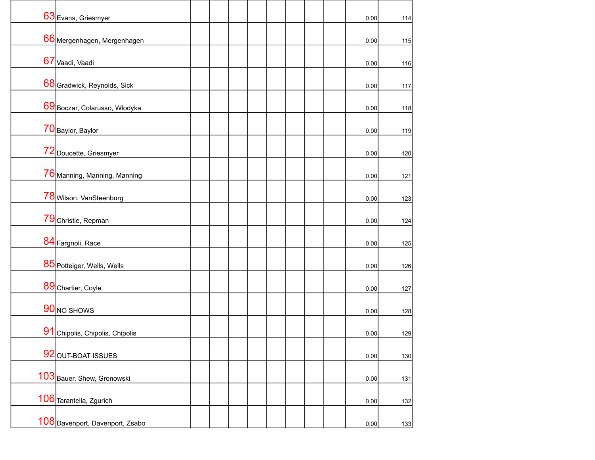| 63 Evans, Griesmyer             |  |  |  | 0.00 | 114 |
|---------------------------------|--|--|--|------|-----|
| 66 Mergenhagen, Mergenhagen     |  |  |  | 0.00 | 115 |
|                                 |  |  |  |      |     |
| 67 Vaadi, Vaadi                 |  |  |  | 0.00 | 116 |
| 68 Gradwick, Reynolds, Sick     |  |  |  | 0.00 | 117 |
| 69 Boczar, Colarusso, Włodyka   |  |  |  | 0.00 | 118 |
| 70 Baylor, Baylor               |  |  |  | 0.00 | 119 |
| 72 Doucette, Griesmyer          |  |  |  | 0.00 | 120 |
| 76 Manning, Manning, Manning    |  |  |  | 0.00 | 121 |
| 78 Wilson, VanSteenburg         |  |  |  | 0.00 | 123 |
| 79 Christie, Repman             |  |  |  | 0.00 | 124 |
| 84 Fargnoli, Race               |  |  |  | 0.00 | 125 |
| 85 Potteiger, Wells, Wells      |  |  |  | 0.00 | 126 |
| 89 Chartier, Coyle              |  |  |  | 0.00 | 127 |
| 90 NO SHOWS                     |  |  |  | 0.00 | 128 |
| 91 Chipolis, Chipolis, Chipolis |  |  |  | 0.00 | 129 |
| 92 OUT-BOAT ISSUES              |  |  |  | 0.00 | 130 |
| 103 Bauer, Shew, Gronowski      |  |  |  | 0.00 | 131 |
| 106 Tarantella, Zgurich         |  |  |  | 0.00 | 132 |
| 108 Davenport, Davenport, Zsabo |  |  |  | 0.00 | 133 |
|                                 |  |  |  |      |     |